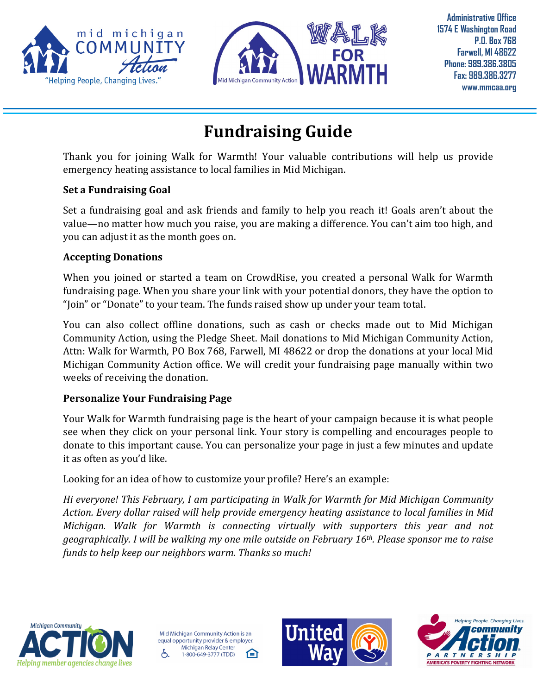



**Administrative Office 1574 E Washington Road P.O. Box 768 Farwell, MI 48622 Phone: 989.386.3805 Fax: 989.386.3277 www.mmcaa.org**

# **Fundraising Guide**

Thank you for joining Walk for Warmth! Your valuable contributions will help us provide emergency heating assistance to local families in Mid Michigan.

#### **Set a Fundraising Goal**

Set a fundraising goal and ask friends and family to help you reach it! Goals aren't about the value—no matter how much you raise, you are making a difference. You can't aim too high, and you can adjust it as the month goes on.

## **Accepting Donations**

When you joined or started a team on CrowdRise, you created a personal Walk for Warmth fundraising page. When you share your link with your potential donors, they have the option to "Join" or "Donate" to your team. The funds raised show up under your team total.

You can also collect offline donations, such as cash or checks made out to Mid Michigan Community Action, using the Pledge Sheet. Mail donations to Mid Michigan Community Action, Attn: Walk for Warmth, PO Box 768, Farwell, MI 48622 or drop the donations at your local Mid Michigan Community Action office. We will credit your fundraising page manually within two weeks of receiving the donation.

## **Personalize Your Fundraising Page**

Your Walk for Warmth fundraising page is the heart of your campaign because it is what people see when they click on your personal link. Your story is compelling and encourages people to donate to this important cause. You can personalize your page in just a few minutes and update it as often as you'd like.

Looking for an idea of how to customize your profile? Here's an example:

*Hi everyone! This February, I am participating in Walk for Warmth for Mid Michigan Community Action. Every dollar raised will help provide emergency heating assistance to local families in Mid Michigan. Walk for Warmth is connecting virtually with supporters this year and not geographically. I will be walking my one mile outside on February 16th. Please sponsor me to raise funds to help keep our neighbors warm. Thanks so much!*



Mid Michigan Community Action is an equal opportunity provider & employer. Michigan Relay Center 臼 Æ, 1-800-649-3777 (TDD)